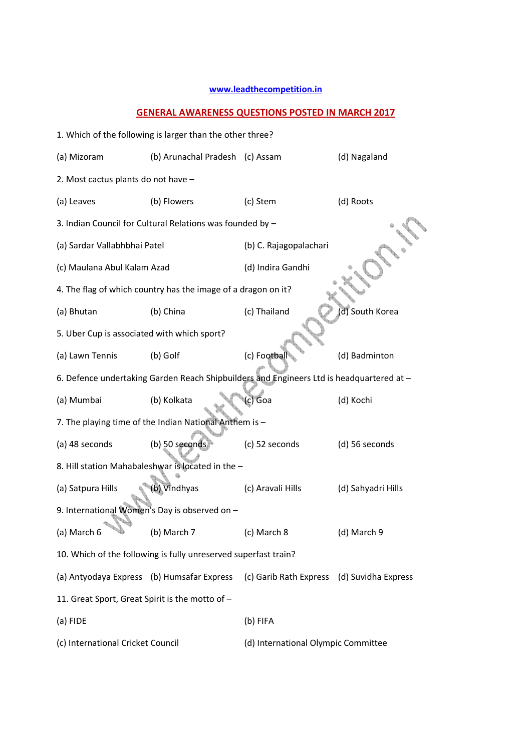## **www.leadthecompetition.in**

## **GENERAL AWARENESS QUESTIONS POSTED IN MARCH 2017**

|                                                                 | 1. Which of the following is larger than the other three?     |                                                                                          |                    |  |  |
|-----------------------------------------------------------------|---------------------------------------------------------------|------------------------------------------------------------------------------------------|--------------------|--|--|
| (a) Mizoram                                                     | (b) Arunachal Pradesh (c) Assam                               |                                                                                          | (d) Nagaland       |  |  |
| 2. Most cactus plants do not have -                             |                                                               |                                                                                          |                    |  |  |
| (a) Leaves                                                      | (b) Flowers                                                   | (c) Stem                                                                                 | (d) Roots          |  |  |
|                                                                 | 3. Indian Council for Cultural Relations was founded by -     |                                                                                          |                    |  |  |
| (a) Sardar Vallabhbhai Patel                                    |                                                               | (b) C. Rajagopalachari                                                                   |                    |  |  |
| (c) Maulana Abul Kalam Azad                                     |                                                               | (d) Indira Gandhi                                                                        |                    |  |  |
|                                                                 | 4. The flag of which country has the image of a dragon on it? |                                                                                          |                    |  |  |
| (a) Bhutan                                                      | (b) China                                                     | (c) Thailand                                                                             | (d) South Korea    |  |  |
| 5. Uber Cup is associated with which sport?                     |                                                               |                                                                                          |                    |  |  |
| (a) Lawn Tennis                                                 | (b) Golf                                                      | (c) Football                                                                             | (d) Badminton      |  |  |
|                                                                 |                                                               | 6. Defence undertaking Garden Reach Shipbuilders and Engineers Ltd is headquartered at - |                    |  |  |
| (a) Mumbai                                                      | (b) Kolkata                                                   | c) Goa                                                                                   | (d) Kochi          |  |  |
|                                                                 | 7. The playing time of the Indian National Anthem is -        |                                                                                          |                    |  |  |
| (a) 48 seconds                                                  | (b) 50 seconds                                                | (c) 52 seconds                                                                           | (d) 56 seconds     |  |  |
|                                                                 | 8. Hill station Mahabaleshwar is located in the -             |                                                                                          |                    |  |  |
| (a) Satpura Hills                                               | b) Vindhyas                                                   | (c) Aravali Hills                                                                        | (d) Sahyadri Hills |  |  |
| 9. International Women's Day is observed on -                   |                                                               |                                                                                          |                    |  |  |
| (a) March 6                                                     | (b) March 7                                                   | (c) March 8                                                                              | (d) March 9        |  |  |
| 10. Which of the following is fully unreserved superfast train? |                                                               |                                                                                          |                    |  |  |
| (a) Antyodaya Express (b) Humsafar Express                      |                                                               | (c) Garib Rath Express (d) Suvidha Express                                               |                    |  |  |
| 11. Great Sport, Great Spirit is the motto of -                 |                                                               |                                                                                          |                    |  |  |
| (a) FIDE                                                        |                                                               | (b) FIFA                                                                                 |                    |  |  |
| (c) International Cricket Council                               |                                                               | (d) International Olympic Committee                                                      |                    |  |  |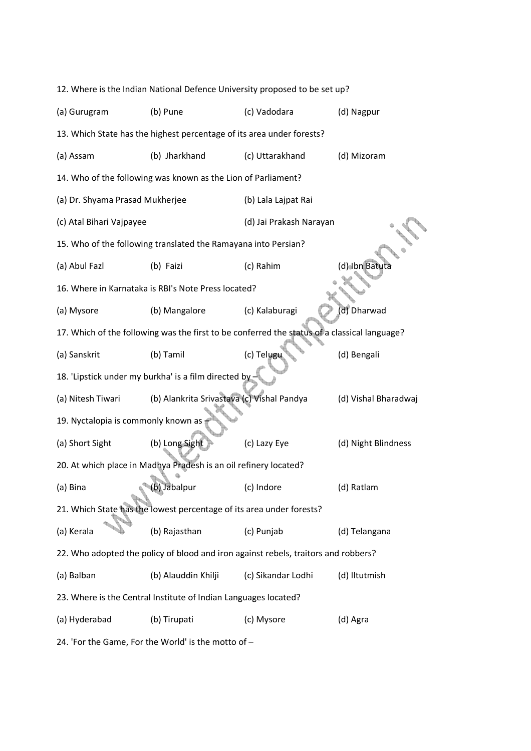|                                                                                              | 12. Where is the Indian National Defence University proposed to be set up? |                         |                      |  |
|----------------------------------------------------------------------------------------------|----------------------------------------------------------------------------|-------------------------|----------------------|--|
| (a) Gurugram                                                                                 | (b) Pune                                                                   | (c) Vadodara            | (d) Nagpur           |  |
|                                                                                              | 13. Which State has the highest percentage of its area under forests?      |                         |                      |  |
| (a) Assam                                                                                    | (b) Jharkhand                                                              | (c) Uttarakhand         | (d) Mizoram          |  |
|                                                                                              | 14. Who of the following was known as the Lion of Parliament?              |                         |                      |  |
| (a) Dr. Shyama Prasad Mukherjee                                                              |                                                                            | (b) Lala Lajpat Rai     |                      |  |
| (c) Atal Bihari Vajpayee                                                                     |                                                                            | (d) Jai Prakash Narayan |                      |  |
|                                                                                              | 15. Who of the following translated the Ramayana into Persian?             |                         |                      |  |
| (a) Abul Fazl                                                                                | (b) Faizi                                                                  | (c) Rahim               | (d) Ibn Batuta       |  |
|                                                                                              | 16. Where in Karnataka is RBI's Note Press located?                        |                         |                      |  |
| (a) Mysore                                                                                   | (b) Mangalore                                                              | (c) Kalaburagi          | d) Dharwad           |  |
| 17. Which of the following was the first to be conferred the status of a classical language? |                                                                            |                         |                      |  |
| (a) Sanskrit                                                                                 | (b) Tamil                                                                  | (c) Telugu              | (d) Bengali          |  |
| 18. 'Lipstick under my burkha' is a film directed by                                         |                                                                            |                         |                      |  |
| (a) Nitesh Tiwari                                                                            | (b) Alankrita Srivastava (c) Vishal Pandya                                 |                         | (d) Vishal Bharadwaj |  |
| 19. Nyctalopia is commonly known as                                                          |                                                                            |                         |                      |  |
| (a) Short Sight                                                                              | (b) Long Sight                                                             | (c) Lazy Eye            | (d) Night Blindness  |  |
|                                                                                              | 20. At which place in Madhya Pradesh is an oil refinery located?           |                         |                      |  |
| (a) Bina                                                                                     | (b) Jabalpur                                                               | (c) Indore              | (d) Ratlam           |  |
| 21. Which State has the lowest percentage of its area under forests?                         |                                                                            |                         |                      |  |
| (a) Kerala                                                                                   | (b) Rajasthan                                                              | (c) Punjab              | (d) Telangana        |  |
| 22. Who adopted the policy of blood and iron against rebels, traitors and robbers?           |                                                                            |                         |                      |  |
| (a) Balban                                                                                   | (b) Alauddin Khilji                                                        | (c) Sikandar Lodhi      | (d) Iltutmish        |  |
| 23. Where is the Central Institute of Indian Languages located?                              |                                                                            |                         |                      |  |
| (a) Hyderabad                                                                                | (b) Tirupati                                                               | (c) Mysore              | (d) Agra             |  |
|                                                                                              |                                                                            |                         |                      |  |

24. 'For the Game, For the World' is the motto of –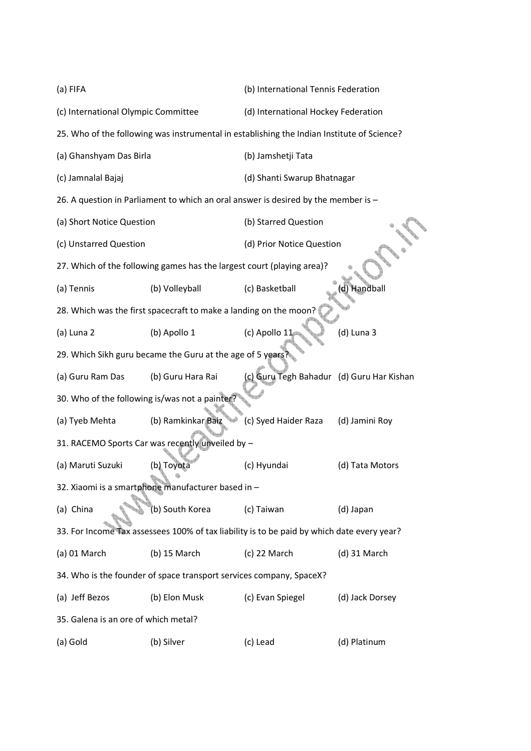| (a) FIFA                                       |                                                                                            | (b) International Tennis Federation       |                 |
|------------------------------------------------|--------------------------------------------------------------------------------------------|-------------------------------------------|-----------------|
| (c) International Olympic Committee            |                                                                                            | (d) International Hockey Federation       |                 |
|                                                | 25. Who of the following was instrumental in establishing the Indian Institute of Science? |                                           |                 |
| (a) Ghanshyam Das Birla                        |                                                                                            | (b) Jamshetji Tata                        |                 |
| (c) Jamnalal Bajaj                             |                                                                                            | (d) Shanti Swarup Bhatnagar               |                 |
|                                                | 26. A question in Parliament to which an oral answer is desired by the member is $-$       |                                           |                 |
| (a) Short Notice Question                      |                                                                                            | (b) Starred Question                      |                 |
| (c) Unstarred Question                         |                                                                                            | (d) Prior Notice Question                 |                 |
|                                                | 27. Which of the following games has the largest court (playing area)?                     |                                           |                 |
| (a) Tennis                                     | (b) Volleyball                                                                             | (c) Basketball                            | Handball        |
|                                                | 28. Which was the first spacecraft to make a landing on the moon?                          |                                           |                 |
| (a) Luna 2                                     | (b) Apollo 1                                                                               | (c) Apollo 11                             | (d) Luna 3      |
|                                                | 29. Which Sikh guru became the Guru at the age of 5 years?                                 |                                           |                 |
| (a) Guru Ram Das                               | (b) Guru Hara Rai                                                                          | (c) Guru Tegh Bahadur (d) Guru Har Kishan |                 |
| 30. Who of the following is/was not a painter? |                                                                                            |                                           |                 |
| (a) Tyeb Mehta                                 | (b) Ramkinkar Baiz                                                                         | (c) Syed Haider Raza                      | (d) Jamini Roy  |
|                                                | 31. RACEMO Sports Car was recently unveiled by -                                           |                                           |                 |
| (a) Maruti Suzuki                              | (b) Toyota                                                                                 | (c) Hyundai                               | (d) Tata Motors |
|                                                | 32. Xiaomi is a smartphone manufacturer based in -                                         |                                           |                 |
| (a) China                                      | (b) South Korea                                                                            | (c) Taiwan                                | (d) Japan       |
|                                                | 33. For Income Tax assessees 100% of tax liability is to be paid by which date every year? |                                           |                 |
| $(a)$ 01 March                                 | $(b)$ 15 March                                                                             | (c) 22 March                              | (d) 31 March    |
|                                                | 34. Who is the founder of space transport services company, SpaceX?                        |                                           |                 |
| (a) Jeff Bezos                                 | (b) Elon Musk                                                                              | (c) Evan Spiegel                          | (d) Jack Dorsey |
| 35. Galena is an ore of which metal?           |                                                                                            |                                           |                 |
| (a) Gold                                       | (b) Silver                                                                                 | (c) Lead                                  | (d) Platinum    |
|                                                |                                                                                            |                                           |                 |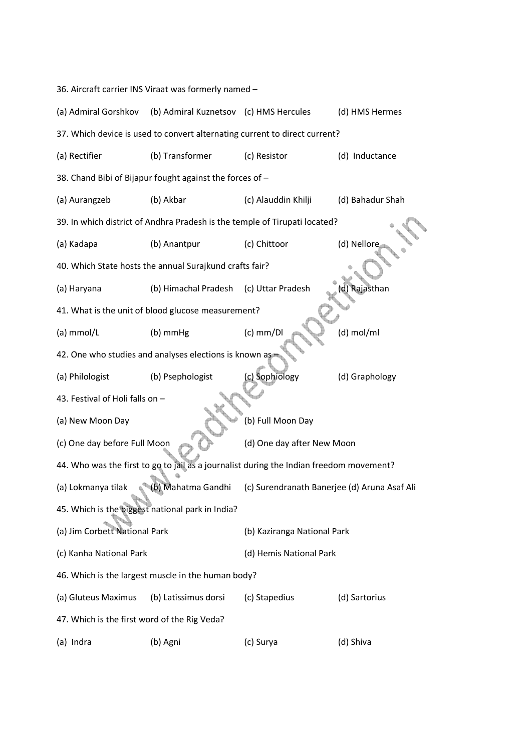36. Aircraft carrier INS Viraat was formerly named – (a) Admiral Gorshkov (b) Admiral Kuznetsov (c) HMS Hercules (d) HMS Hermes 37. Which device is used to convert alternating current to direct current? (a) Rectifier (b) Transformer (c) Resistor (d) Inductance 38. Chand Bibi of Bijapur fought against the forces of – (a) Aurangzeb (b) Akbar (c) Alauddin Khilji (d) Bahadur Shah 39. In which district of Andhra Pradesh is the temple of Tirupati located? (a) Kadapa (b) Anantpur (c) Chittoor (d) Nellore 40. Which State hosts the annual Surajkund crafts fair? (a) Haryana (b) Himachal Pradesh (c) Uttar Pradesh (d) Rajasthan 41. What is the unit of blood glucose measurement? (a) mmol/L  $(b)$  mmHg  $(c)$  mm/Dl  $(d)$  mol/ml 42. One who studies and analyses elections is known as (a) Philologist (b) Psephologist (c) Sophiology (d) Graphology 43. Festival of Holi falls on – (a) New Moon Day (b) Full Moon Day (c) One day before Full Moon (d) One day after New Moon 44. Who was the first to go to jail as a journalist during the Indian freedom movement? (a) Lokmanya tilak (b) Mahatma Gandhi (c) Surendranath Banerjee (d) Aruna Asaf Ali 45. Which is the biggest national park in India? (a) Jim Corbett National Park (b) Kaziranga National Park (c) Kanha National Park (d) Hemis National Park 46. Which is the largest muscle in the human body? (a) Gluteus Maximus (b) Latissimus dorsi (c) Stapedius (d) Sartorius 47. Which is the first word of the Rig Veda? (a) Indra (b) Agni (c) Surya (d) Shiva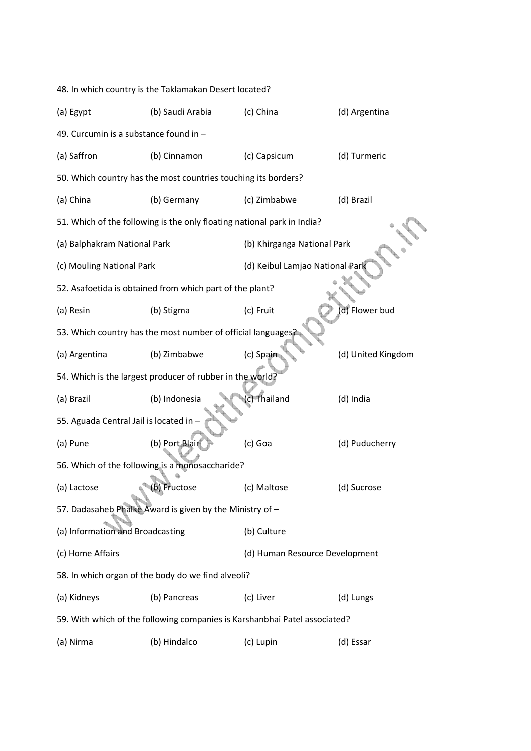|                                                                            | 48. In which country is the Taklamakan Desert located?                  |                                 |                    |  |  |
|----------------------------------------------------------------------------|-------------------------------------------------------------------------|---------------------------------|--------------------|--|--|
| (a) Egypt                                                                  | (b) Saudi Arabia                                                        | (c) China                       | (d) Argentina      |  |  |
| 49. Curcumin is a substance found in -                                     |                                                                         |                                 |                    |  |  |
| (a) Saffron                                                                | (b) Cinnamon                                                            | (c) Capsicum                    | (d) Turmeric       |  |  |
|                                                                            | 50. Which country has the most countries touching its borders?          |                                 |                    |  |  |
| (a) China                                                                  | (b) Germany                                                             | (c) Zimbabwe                    | (d) Brazil         |  |  |
|                                                                            | 51. Which of the following is the only floating national park in India? |                                 |                    |  |  |
| (a) Balphakram National Park                                               |                                                                         | (b) Khirganga National Park     |                    |  |  |
| (c) Mouling National Park                                                  |                                                                         | (d) Keibul Lamjao National Park |                    |  |  |
|                                                                            | 52. Asafoetida is obtained from which part of the plant?                |                                 |                    |  |  |
| (a) Resin                                                                  | (b) Stigma                                                              | (c) Fruit                       | d) Flower bud      |  |  |
|                                                                            | 53. Which country has the most number of official languages             |                                 |                    |  |  |
| (a) Argentina                                                              | (b) Zimbabwe                                                            | (c) Spain                       | (d) United Kingdom |  |  |
| 54. Which is the largest producer of rubber in the world?                  |                                                                         |                                 |                    |  |  |
| (a) Brazil                                                                 | (b) Indonesia                                                           | c) Thailand                     | (d) India          |  |  |
| 55. Aguada Central Jail is located in -                                    |                                                                         |                                 |                    |  |  |
| (a) Pune                                                                   | (b) Port Blair                                                          | (c) Goa                         | (d) Puducherry     |  |  |
|                                                                            | 56. Which of the following is a monosaccharide?                         |                                 |                    |  |  |
| (a) Lactose                                                                | (b) Fructose                                                            | (c) Maltose                     | (d) Sucrose        |  |  |
| 57. Dadasaheb Phalke Award is given by the Ministry of -                   |                                                                         |                                 |                    |  |  |
| (a) Information and Broadcasting                                           |                                                                         | (b) Culture                     |                    |  |  |
| (c) Home Affairs                                                           |                                                                         | (d) Human Resource Development  |                    |  |  |
| 58. In which organ of the body do we find alveoli?                         |                                                                         |                                 |                    |  |  |
| (a) Kidneys                                                                | (b) Pancreas                                                            | (c) Liver                       | (d) Lungs          |  |  |
| 59. With which of the following companies is Karshanbhai Patel associated? |                                                                         |                                 |                    |  |  |
| (a) Nirma                                                                  | (b) Hindalco                                                            | (c) Lupin                       | (d) Essar          |  |  |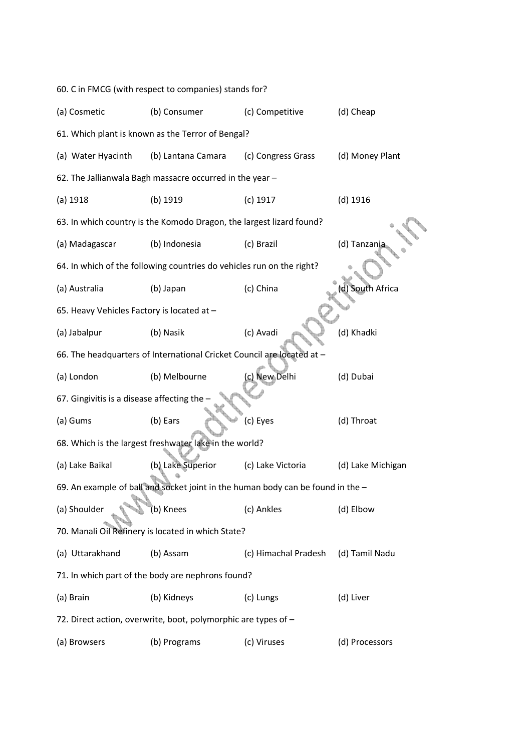|                                                                                   | 60. C in FMCG (with respect to companies) stands for?                  |                      |                   |  |  |
|-----------------------------------------------------------------------------------|------------------------------------------------------------------------|----------------------|-------------------|--|--|
| (a) Cosmetic                                                                      | (b) Consumer                                                           | (c) Competitive      | (d) Cheap         |  |  |
|                                                                                   | 61. Which plant is known as the Terror of Bengal?                      |                      |                   |  |  |
| (a) Water Hyacinth                                                                | (b) Lantana Camara                                                     | (c) Congress Grass   | (d) Money Plant   |  |  |
|                                                                                   | 62. The Jallianwala Bagh massacre occurred in the year -               |                      |                   |  |  |
| (a) 1918                                                                          | (b) 1919                                                               | $(c)$ 1917           | $(d)$ 1916        |  |  |
|                                                                                   | 63. In which country is the Komodo Dragon, the largest lizard found?   |                      |                   |  |  |
| (a) Madagascar                                                                    | (b) Indonesia                                                          | (c) Brazil           | (d) Tanzania      |  |  |
|                                                                                   | 64. In which of the following countries do vehicles run on the right?  |                      |                   |  |  |
| (a) Australia                                                                     | (b) Japan                                                              | (c) China            | South Africa      |  |  |
| 65. Heavy Vehicles Factory is located at -                                        |                                                                        |                      |                   |  |  |
| (a) Jabalpur                                                                      | (b) Nasik                                                              | (c) Avadi            | (d) Khadki        |  |  |
|                                                                                   | 66. The headquarters of International Cricket Council are located at - |                      |                   |  |  |
| (a) London                                                                        | (b) Melbourne                                                          | (c) New Delhi        | (d) Dubai         |  |  |
| 67. Gingivitis is a disease affecting the                                         |                                                                        |                      |                   |  |  |
| (a) Gums                                                                          | (b) Ears                                                               | (c) Eyes             | (d) Throat        |  |  |
|                                                                                   | 68. Which is the largest freshwater lake in the world?                 |                      |                   |  |  |
| (a) Lake Baikal                                                                   | (b) Lake Superior                                                      | (c) Lake Victoria    | (d) Lake Michigan |  |  |
| 69. An example of ball and socket joint in the human body can be found in the $-$ |                                                                        |                      |                   |  |  |
| (a) Shoulder                                                                      | (b) Knees                                                              | (c) Ankles           | (d) Elbow         |  |  |
| 70. Manali Oil Refinery is located in which State?                                |                                                                        |                      |                   |  |  |
| (a) Uttarakhand                                                                   | (b) Assam                                                              | (c) Himachal Pradesh | (d) Tamil Nadu    |  |  |
| 71. In which part of the body are nephrons found?                                 |                                                                        |                      |                   |  |  |
| (a) Brain                                                                         | (b) Kidneys                                                            | (c) Lungs            | (d) Liver         |  |  |
| 72. Direct action, overwrite, boot, polymorphic are types of -                    |                                                                        |                      |                   |  |  |
| (a) Browsers                                                                      | (b) Programs                                                           | (c) Viruses          | (d) Processors    |  |  |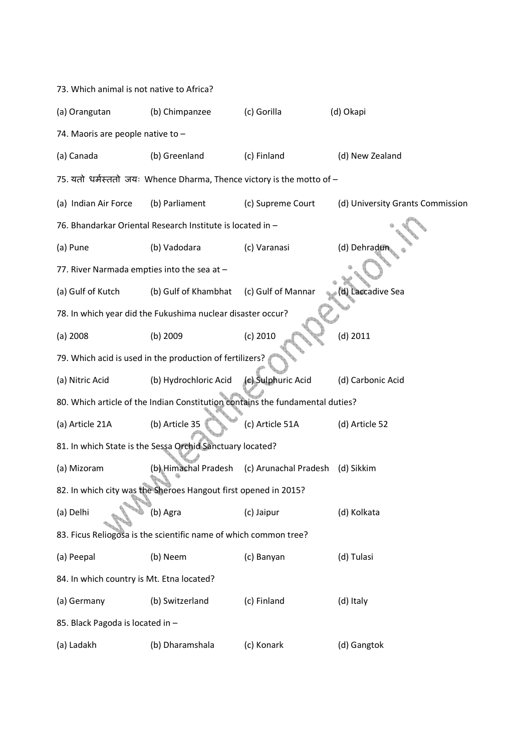| 73. Which animal is not native to Africa?                        |                                                                               |                       |                                  |  |  |
|------------------------------------------------------------------|-------------------------------------------------------------------------------|-----------------------|----------------------------------|--|--|
| (a) Orangutan                                                    | (b) Chimpanzee                                                                | (c) Gorilla           | (d) Okapi                        |  |  |
| 74. Maoris are people native to -                                |                                                                               |                       |                                  |  |  |
| (a) Canada                                                       | (b) Greenland                                                                 | (c) Finland           | (d) New Zealand                  |  |  |
|                                                                  | 75. यतो धर्मस्ततो जयः Whence Dharma, Thence victory is the motto of -         |                       |                                  |  |  |
| (a) Indian Air Force                                             | (b) Parliament                                                                | (c) Supreme Court     | (d) University Grants Commission |  |  |
|                                                                  | 76. Bhandarkar Oriental Research Institute is located in -                    |                       |                                  |  |  |
| (a) Pune                                                         | (b) Vadodara                                                                  | (c) Varanasi          | (d) Dehradur                     |  |  |
| 77. River Narmada empties into the sea at -                      |                                                                               |                       |                                  |  |  |
| (a) Gulf of Kutch                                                | (b) Gulf of Khambhat                                                          | (c) Gulf of Mannar    | d) Laccadive Sea                 |  |  |
|                                                                  | 78. In which year did the Fukushima nuclear disaster occur?                   |                       |                                  |  |  |
| $(a)$ 2008                                                       | $(b)$ 2009                                                                    | (c) 2010              | $(d)$ 2011                       |  |  |
|                                                                  | 79. Which acid is used in the production of fertilizers?                      |                       |                                  |  |  |
| (a) Nitric Acid                                                  | (b) Hydrochloric Acid                                                         | (c) Sulphuric Acid    | (d) Carbonic Acid                |  |  |
|                                                                  | 80. Which article of the Indian Constitution contains the fundamental duties? |                       |                                  |  |  |
| (a) Article 21A                                                  | (b) Article 35                                                                | (c) Article 51A       | (d) Article 52                   |  |  |
|                                                                  | 81. In which State is the Sessa Orchid Sanctuary located?                     |                       |                                  |  |  |
| (a) Mizoram                                                      | (b) Himachal Pradesh                                                          | (c) Arunachal Pradesh | (d) Sikkim                       |  |  |
|                                                                  | 82. In which city was the Sheroes Hangout first opened in 2015?               |                       |                                  |  |  |
| (a) Delhi                                                        | (b) Agra                                                                      | (c) Jaipur            | (d) Kolkata                      |  |  |
| 83. Ficus Reliogosa is the scientific name of which common tree? |                                                                               |                       |                                  |  |  |
| (a) Peepal                                                       | (b) Neem                                                                      | (c) Banyan            | (d) Tulasi                       |  |  |
| 84. In which country is Mt. Etna located?                        |                                                                               |                       |                                  |  |  |
| (a) Germany                                                      | (b) Switzerland                                                               | (c) Finland           | (d) Italy                        |  |  |
| 85. Black Pagoda is located in -                                 |                                                                               |                       |                                  |  |  |
| (a) Ladakh                                                       | (b) Dharamshala                                                               | (c) Konark            | (d) Gangtok                      |  |  |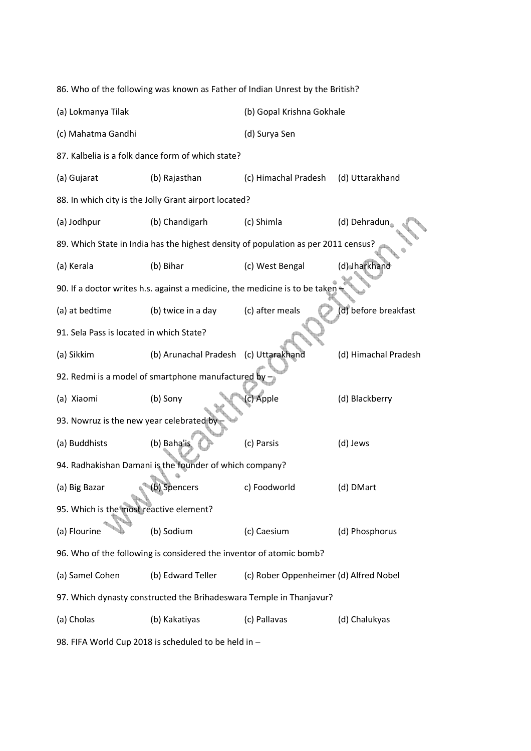86. Who of the following was known as Father of Indian Unrest by the British? (a) Lokmanya Tilak (b) Gopal Krishna Gokhale (c) Mahatma Gandhi (d) Surya Sen 87. Kalbelia is a folk dance form of which state? (a) Gujarat (b) Rajasthan (c) Himachal Pradesh (d) Uttarakhand 88. In which city is the Jolly Grant airport located? (a) Jodhpur (b) Chandigarh (c) Shimla (d) Dehradun 89. Which State in India has the highest density of population as per 2011 census? (a) Kerala (b) Bihar (c) West Bengal (d) Jharkhand 90. If a doctor writes h.s. against a medicine, the medicine is to be taken (a) at bedtime (b) twice in a day (c) after meals (d) before breakfast 91. Sela Pass is located in which State? (a) Sikkim (b) Arunachal Pradesh (c) Uttarakhand (d) Himachal Pradesh 92. Redmi is a model of smartphone manufactured by (a) Xiaomi (b) Sony (c) Apple (d) Blackberry 93. Nowruz is the new year celebrated b (a) Buddhists (b) Baha'is (c) Parsis (d) Jews 94. Radhakishan Damani is the founder of which company? (a) Big Bazar (b) Spencers c) Foodworld (d) DMart 95. Which is the most reactive element? (a) Flourine (b) Sodium (c) Caesium (d) Phosphorus 96. Who of the following is considered the inventor of atomic bomb? (a) Samel Cohen (b) Edward Teller (c) Rober Oppenheimer (d) Alfred Nobel 97. Which dynasty constructed the Brihadeswara Temple in Thanjavur? (a) Cholas (b) Kakatiyas (c) Pallavas (d) Chalukyas 98. FIFA World Cup 2018 is scheduled to be held in –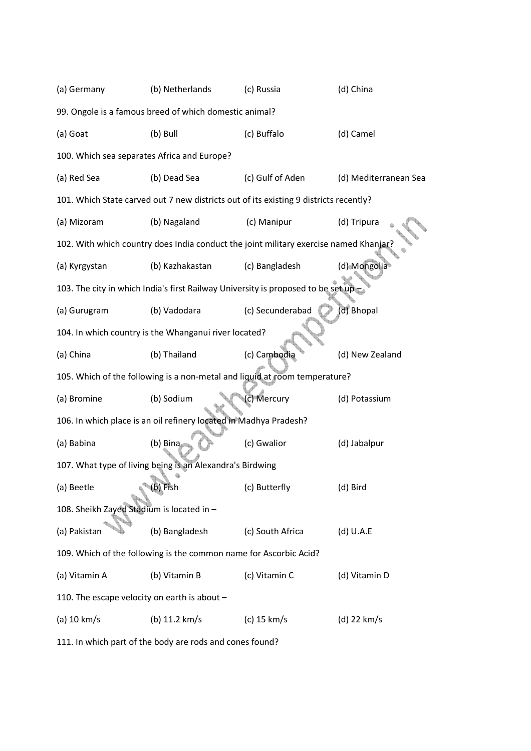| (a) Germany                                                                | (b) Netherlands                                                                       | (c) Russia       | (d) China             |  |  |
|----------------------------------------------------------------------------|---------------------------------------------------------------------------------------|------------------|-----------------------|--|--|
|                                                                            | 99. Ongole is a famous breed of which domestic animal?                                |                  |                       |  |  |
| (a) Goat                                                                   | (b) Bull                                                                              | (c) Buffalo      | (d) Camel             |  |  |
| 100. Which sea separates Africa and Europe?                                |                                                                                       |                  |                       |  |  |
| (a) Red Sea                                                                | (b) Dead Sea                                                                          | (c) Gulf of Aden | (d) Mediterranean Sea |  |  |
|                                                                            | 101. Which State carved out 7 new districts out of its existing 9 districts recently? |                  |                       |  |  |
| (a) Mizoram                                                                | (b) Nagaland                                                                          | (c) Manipur      | (d) Tripura           |  |  |
|                                                                            | 102. With which country does India conduct the joint military exercise named Khanjar? |                  |                       |  |  |
| (a) Kyrgystan                                                              | (b) Kazhakastan                                                                       | (c) Bangladesh   | (d) Mongolia          |  |  |
|                                                                            | 103. The city in which India's first Railway University is proposed to be set up      |                  |                       |  |  |
| (a) Gurugram                                                               | (b) Vadodara                                                                          | (c) Secunderabad | d) Bhopal             |  |  |
| 104. In which country is the Whanganui river located?                      |                                                                                       |                  |                       |  |  |
| (a) China                                                                  | (b) Thailand                                                                          | (c) Cambodia     | (d) New Zealand       |  |  |
| 105. Which of the following is a non-metal and liquid at room temperature? |                                                                                       |                  |                       |  |  |
| (a) Bromine                                                                | (b) Sodium                                                                            | (c) Mercury      | (d) Potassium         |  |  |
|                                                                            | 106. In which place is an oil refinery located in Madhya Pradesh?                     |                  |                       |  |  |
| (a) Babina                                                                 | (b) Bina                                                                              | (c) Gwalior      | (d) Jabalpur          |  |  |
| 107. What type of living being is an Alexandra's Birdwing                  |                                                                                       |                  |                       |  |  |
| (a) Beetle                                                                 | (b) Fish                                                                              | (c) Butterfly    | (d) Bird              |  |  |
| 108. Sheikh Zayed Stadium is located in -                                  |                                                                                       |                  |                       |  |  |
| (a) Pakistan                                                               | (b) Bangladesh                                                                        | (c) South Africa | $(d)$ U.A.E           |  |  |
| 109. Which of the following is the common name for Ascorbic Acid?          |                                                                                       |                  |                       |  |  |
| (a) Vitamin A                                                              | (b) Vitamin B                                                                         | (c) Vitamin C    | (d) Vitamin D         |  |  |
| 110. The escape velocity on earth is about -                               |                                                                                       |                  |                       |  |  |
| (a) 10 km/s                                                                | (b) 11.2 km/s                                                                         | (c) 15 km/s      | (d) 22 km/s           |  |  |

111. In which part of the body are rods and cones found?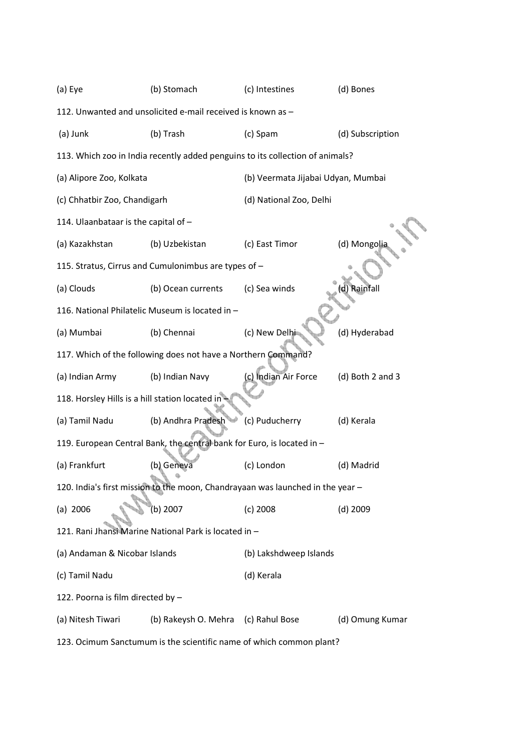| (a) Eye                                                                        | (b) Stomach                                                                   | (c) Intestines                     | (d) Bones        |  |  |
|--------------------------------------------------------------------------------|-------------------------------------------------------------------------------|------------------------------------|------------------|--|--|
| 112. Unwanted and unsolicited e-mail received is known as -                    |                                                                               |                                    |                  |  |  |
| (a) Junk                                                                       | (b) Trash                                                                     | (c) Spam                           | (d) Subscription |  |  |
|                                                                                | 113. Which zoo in India recently added penguins to its collection of animals? |                                    |                  |  |  |
| (a) Alipore Zoo, Kolkata                                                       |                                                                               | (b) Veermata Jijabai Udyan, Mumbai |                  |  |  |
| (c) Chhatbir Zoo, Chandigarh                                                   |                                                                               | (d) National Zoo, Delhi            |                  |  |  |
| 114. Ulaanbataar is the capital of -                                           |                                                                               |                                    |                  |  |  |
| (a) Kazakhstan                                                                 | (b) Uzbekistan                                                                | (c) East Timor                     | (d) Mongolia     |  |  |
|                                                                                | 115. Stratus, Cirrus and Cumulonimbus are types of -                          |                                    |                  |  |  |
| (a) Clouds                                                                     | (b) Ocean currents                                                            | (c) Sea winds                      | Rainfall         |  |  |
|                                                                                | 116. National Philatelic Museum is located in -                               |                                    |                  |  |  |
| (a) Mumbai                                                                     | (b) Chennai                                                                   | (c) New Delhi                      | (d) Hyderabad    |  |  |
|                                                                                | 117. Which of the following does not have a Northern Command?                 |                                    |                  |  |  |
| (a) Indian Army                                                                | (b) Indian Navy                                                               | (c) Indian Air Force               | (d) Both 2 and 3 |  |  |
| 118. Horsley Hills is a hill station located in                                |                                                                               |                                    |                  |  |  |
| (a) Tamil Nadu                                                                 | (b) Andhra Pradesh                                                            | (c) Puducherry                     | (d) Kerala       |  |  |
|                                                                                | 119. European Central Bank, the central bank for Euro, is located in -        |                                    |                  |  |  |
| (a) Frankfurt                                                                  | (b) Geneva                                                                    | (c) London                         | (d) Madrid       |  |  |
| 120. India's first mission to the moon, Chandrayaan was launched in the year - |                                                                               |                                    |                  |  |  |
| (a) 2006                                                                       | (b) 2007                                                                      | $(c)$ 2008                         | $(d)$ 2009       |  |  |
| 121. Rani Jhansi Marine National Park is located in -                          |                                                                               |                                    |                  |  |  |
| (a) Andaman & Nicobar Islands                                                  |                                                                               | (b) Lakshdweep Islands             |                  |  |  |
| (c) Tamil Nadu                                                                 |                                                                               | (d) Kerala                         |                  |  |  |
| 122. Poorna is film directed by -                                              |                                                                               |                                    |                  |  |  |
| (a) Nitesh Tiwari                                                              | (b) Rakeysh O. Mehra                                                          | (c) Rahul Bose                     | (d) Omung Kumar  |  |  |
|                                                                                |                                                                               |                                    |                  |  |  |

123. Ocimum Sanctumum is the scientific name of which common plant?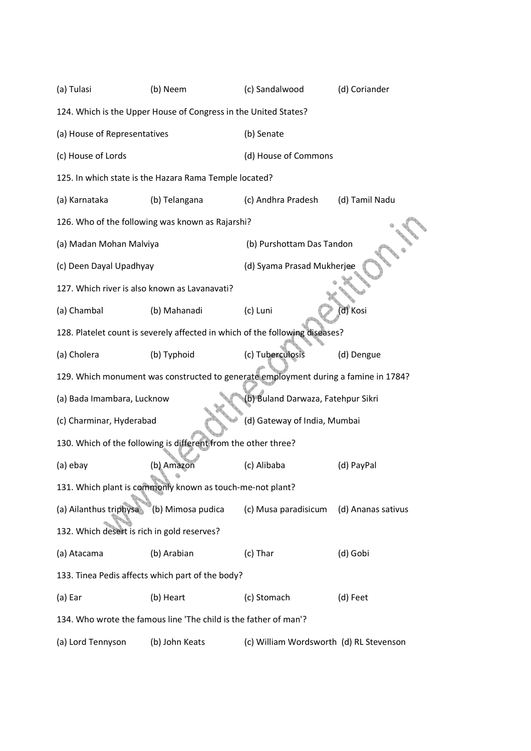(a) Tulasi (b) Neem (c) Sandalwood (d) Coriander 124. Which is the Upper House of Congress in the United States? (a) House of Representatives (b) Senate (c) House of Lords (d) House of Commons 125. In which state is the Hazara Rama Temple located? (a) Karnataka (b) Telangana (c) Andhra Pradesh (d) Tamil Nadu 126. Who of the following was known as Rajarshi? (a) Madan Mohan Malviya (b) Purshottam Das Tandon (c) Deen Dayal Upadhyay (d) Syama Prasad Mukherjee 127. Which river is also known as Lavanavati? (a) Chambal (b) Mahanadi (c) Luni (d) Kosi 128. Platelet count is severely affected in which of the following diseases? (a) Cholera (b) Typhoid (c) Tuberculosis (d) Dengue 129. Which monument was constructed to generate employment during a famine in 1784? (a) Bada Imambara, Lucknow (b) Buland Darwaza, Fatehpur Sikri (c) Charminar, Hyderabad (d) Gateway of India, Mumbai 130. Which of the following is different from the other three? (a) ebay (b) Amazon (c) Alibaba (d) PayPal 131. Which plant is commonly known as touch-me-not plant? (a) Ailanthus triphysa (b) Mimosa pudica (c) Musa paradisicum (d) Ananas sativus 132. Which desert is rich in gold reserves? (a) Atacama (b) Arabian (c) Thar (d) Gobi 133. Tinea Pedis affects which part of the body? (a) Ear (b) Heart (c) Stomach (d) Feet 134. Who wrote the famous line 'The child is the father of man'? (a) Lord Tennyson (b) John Keats (c) William Wordsworth (d) RL Stevenson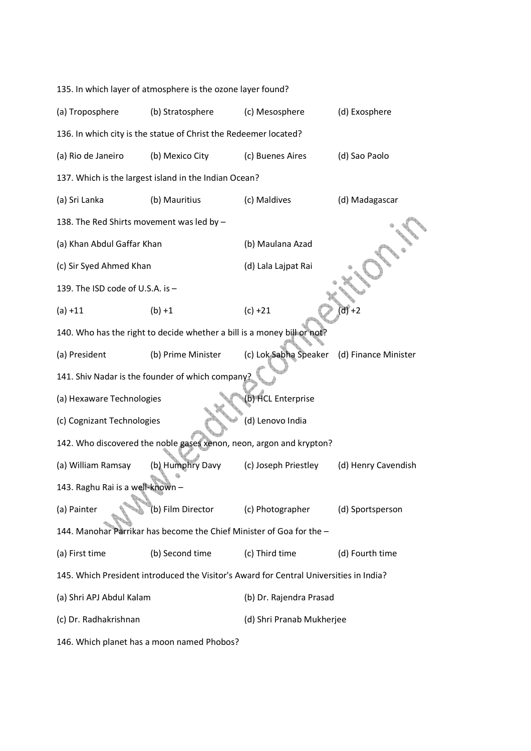| 135. In which layer of atmosphere is the ozone layer found?                            |                                                                        |                           |                      |  |
|----------------------------------------------------------------------------------------|------------------------------------------------------------------------|---------------------------|----------------------|--|
| (a) Troposphere                                                                        | (b) Stratosphere                                                       | (c) Mesosphere            | (d) Exosphere        |  |
|                                                                                        | 136. In which city is the statue of Christ the Redeemer located?       |                           |                      |  |
| (a) Rio de Janeiro                                                                     | (b) Mexico City                                                        | (c) Buenes Aires          | (d) Sao Paolo        |  |
|                                                                                        | 137. Which is the largest island in the Indian Ocean?                  |                           |                      |  |
| (a) Sri Lanka                                                                          | (b) Mauritius                                                          | (c) Maldives              | (d) Madagascar       |  |
| 138. The Red Shirts movement was led by -                                              |                                                                        |                           |                      |  |
| (a) Khan Abdul Gaffar Khan                                                             |                                                                        | (b) Maulana Azad          |                      |  |
| (c) Sir Syed Ahmed Khan                                                                |                                                                        | (d) Lala Lajpat Rai       |                      |  |
| 139. The ISD code of U.S.A. is -                                                       |                                                                        |                           |                      |  |
| $(a) +11$                                                                              | $(b) + 1$                                                              | $(c) +21$                 | $d\bar{f}$ +2        |  |
|                                                                                        | 140. Who has the right to decide whether a bill is a money bill or not |                           |                      |  |
| (a) President                                                                          | (b) Prime Minister                                                     | (c) Lok Sabha Speaker     | (d) Finance Minister |  |
|                                                                                        | 141. Shiv Nadar is the founder of which company?                       |                           |                      |  |
| (b) HCL Enterprise<br>(a) Hexaware Technologies                                        |                                                                        |                           |                      |  |
| (c) Cognizant Technologies                                                             |                                                                        | (d) Lenovo India          |                      |  |
|                                                                                        | 142. Who discovered the noble gases xenon, neon, argon and krypton?    |                           |                      |  |
| (a) William Ramsay                                                                     | (b) Humphry Davy                                                       | (c) Joseph Priestley      | (d) Henry Cavendish  |  |
| 143. Raghu Rai is a well-known -                                                       |                                                                        |                           |                      |  |
| (a) Painter                                                                            | (b) Film Director                                                      | (c) Photographer          | (d) Sportsperson     |  |
| 144. Manohar Parrikar has become the Chief Minister of Goa for the -                   |                                                                        |                           |                      |  |
| (a) First time                                                                         | (b) Second time                                                        | (c) Third time            | (d) Fourth time      |  |
| 145. Which President introduced the Visitor's Award for Central Universities in India? |                                                                        |                           |                      |  |
| (a) Shri APJ Abdul Kalam                                                               |                                                                        | (b) Dr. Rajendra Prasad   |                      |  |
| (c) Dr. Radhakrishnan                                                                  |                                                                        | (d) Shri Pranab Mukherjee |                      |  |
| 146. Which planet has a moon named Phobos?                                             |                                                                        |                           |                      |  |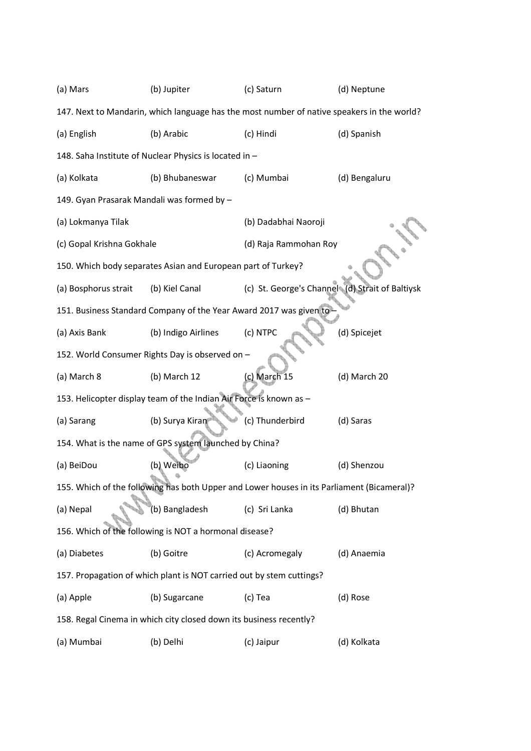| (a) Mars                                                                                   | (b) Jupiter                                                                                | (c) Saturn                                      | (d) Neptune   |  |  |
|--------------------------------------------------------------------------------------------|--------------------------------------------------------------------------------------------|-------------------------------------------------|---------------|--|--|
|                                                                                            | 147. Next to Mandarin, which language has the most number of native speakers in the world? |                                                 |               |  |  |
| (a) English                                                                                | (b) Arabic                                                                                 | (c) Hindi                                       | (d) Spanish   |  |  |
|                                                                                            | 148. Saha Institute of Nuclear Physics is located in -                                     |                                                 |               |  |  |
| (a) Kolkata                                                                                | (b) Bhubaneswar                                                                            | (c) Mumbai                                      | (d) Bengaluru |  |  |
| 149. Gyan Prasarak Mandali was formed by -                                                 |                                                                                            |                                                 |               |  |  |
| (a) Lokmanya Tilak                                                                         |                                                                                            | (b) Dadabhai Naoroji                            |               |  |  |
| (c) Gopal Krishna Gokhale                                                                  |                                                                                            | (d) Raja Rammohan Roy                           |               |  |  |
|                                                                                            | 150. Which body separates Asian and European part of Turkey?                               |                                                 |               |  |  |
| (a) Bosphorus strait                                                                       | (b) Kiel Canal                                                                             | (c) St. George's Channel (d) Strait of Baltiysk |               |  |  |
|                                                                                            | 151. Business Standard Company of the Year Award 2017 was given to                         |                                                 |               |  |  |
| (a) Axis Bank                                                                              | (b) Indigo Airlines                                                                        | (c) NTPC                                        | (d) Spicejet  |  |  |
|                                                                                            | 152. World Consumer Rights Day is observed on -                                            |                                                 |               |  |  |
| (a) March 8                                                                                | (b) March 12                                                                               | (c) March 15                                    | (d) March 20  |  |  |
|                                                                                            | 153. Helicopter display team of the Indian Air Force is known as -                         |                                                 |               |  |  |
| (a) Sarang                                                                                 | (b) Surya Kiran                                                                            | (c) Thunderbird                                 | (d) Saras     |  |  |
| 154. What is the name of GPS system launched by China?                                     |                                                                                            |                                                 |               |  |  |
| (a) BeiDou                                                                                 | (b) Weibo                                                                                  | (c) Liaoning                                    | (d) Shenzou   |  |  |
| 155. Which of the following has both Upper and Lower houses in its Parliament (Bicameral)? |                                                                                            |                                                 |               |  |  |
| (a) Nepal                                                                                  | (b) Bangladesh                                                                             | (c) Sri Lanka                                   | (d) Bhutan    |  |  |
| 156. Which of the following is NOT a hormonal disease?                                     |                                                                                            |                                                 |               |  |  |
| (a) Diabetes                                                                               | (b) Goitre                                                                                 | (c) Acromegaly                                  | (d) Anaemia   |  |  |
| 157. Propagation of which plant is NOT carried out by stem cuttings?                       |                                                                                            |                                                 |               |  |  |
| (a) Apple                                                                                  | (b) Sugarcane                                                                              | (c) Tea                                         | (d) Rose      |  |  |
| 158. Regal Cinema in which city closed down its business recently?                         |                                                                                            |                                                 |               |  |  |
| (a) Mumbai                                                                                 | (b) Delhi                                                                                  | (c) Jaipur                                      | (d) Kolkata   |  |  |